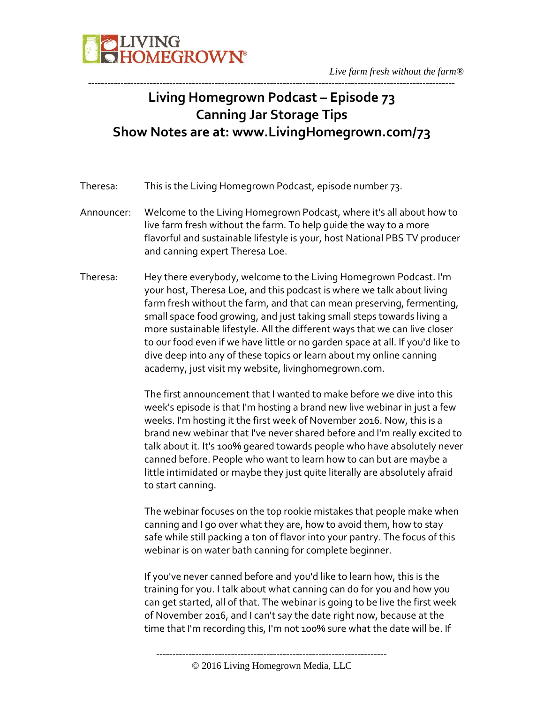

## **Living Homegrown Podcast – Episode 73 Canning Jar Storage Tips Show Notes are at: www.LivingHomegrown.com/73**

-----------------------------------------------------------------------------------------------------------------

- Theresa: This is the Living Homegrown Podcast, episode number 73.
- Announcer: Welcome to the Living Homegrown Podcast, where it's all about how to live farm fresh without the farm. To help guide the way to a more flavorful and sustainable lifestyle is your, host National PBS TV producer and canning expert Theresa Loe.
- Theresa: Hey there everybody, welcome to the Living Homegrown Podcast. I'm your host, Theresa Loe, and this podcast is where we talk about living farm fresh without the farm, and that can mean preserving, fermenting, small space food growing, and just taking small steps towards living a more sustainable lifestyle. All the different ways that we can live closer to our food even if we have little or no garden space at all. If you'd like to dive deep into any of these topics or learn about my online canning academy, just visit my website, livinghomegrown.com.

The first announcement that I wanted to make before we dive into this week's episode is that I'm hosting a brand new live webinar in just a few weeks. I'm hosting it the first week of November 2016. Now, this is a brand new webinar that I've never shared before and I'm really excited to talk about it. It's 100% geared towards people who have absolutely never canned before. People who want to learn how to can but are maybe a little intimidated or maybe they just quite literally are absolutely afraid to start canning.

The webinar focuses on the top rookie mistakes that people make when canning and I go over what they are, how to avoid them, how to stay safe while still packing a ton of flavor into your pantry. The focus of this webinar is on water bath canning for complete beginner.

If you've never canned before and you'd like to learn how, this is the training for you. I talk about what canning can do for you and how you can get started, all of that. The webinar is going to be live the first week of November 2016, and I can't say the date right now, because at the time that I'm recording this, I'm not 100% sure what the date will be. If

<sup>-----------------------------------------------------------------------</sup>

<sup>© 2016</sup> Living Homegrown Media, LLC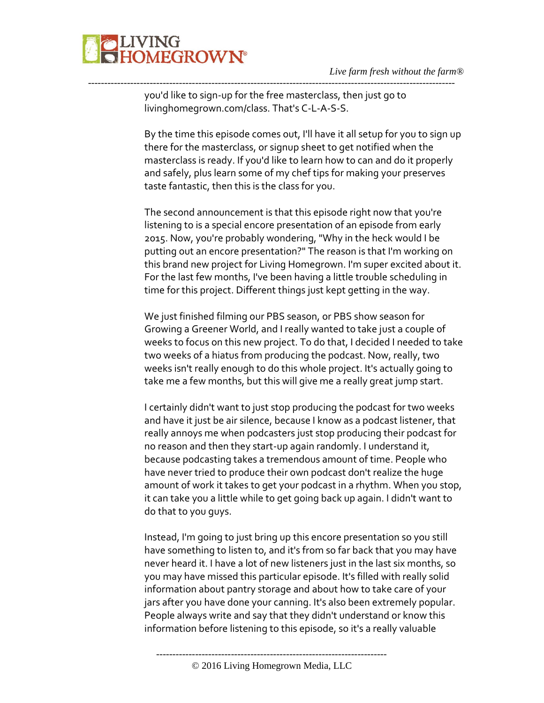

you'd like to sign-up for the free masterclass, then just go to livinghomegrown.com/class. That's C-L-A-S-S.

-----------------------------------------------------------------------------------------------------------------

By the time this episode comes out, I'll have it all setup for you to sign up there for the masterclass, or signup sheet to get notified when the masterclass is ready. If you'd like to learn how to can and do it properly and safely, plus learn some of my chef tips for making your preserves taste fantastic, then this is the class for you.

The second announcement is that this episode right now that you're listening to is a special encore presentation of an episode from early 2015. Now, you're probably wondering, "Why in the heck would I be putting out an encore presentation?" The reason is that I'm working on this brand new project for Living Homegrown. I'm super excited about it. For the last few months, I've been having a little trouble scheduling in time for this project. Different things just kept getting in the way.

We just finished filming our PBS season, or PBS show season for Growing a Greener World, and I really wanted to take just a couple of weeks to focus on this new project. To do that, I decided I needed to take two weeks of a hiatus from producing the podcast. Now, really, two weeks isn't really enough to do this whole project. It's actually going to take me a few months, but this will give me a really great jump start.

I certainly didn't want to just stop producing the podcast for two weeks and have it just be air silence, because I know as a podcast listener, that really annoys me when podcasters just stop producing their podcast for no reason and then they start-up again randomly. I understand it, because podcasting takes a tremendous amount of time. People who have never tried to produce their own podcast don't realize the huge amount of work it takes to get your podcast in a rhythm. When you stop, it can take you a little while to get going back up again. I didn't want to do that to you guys.

Instead, I'm going to just bring up this encore presentation so you still have something to listen to, and it's from so far back that you may have never heard it. I have a lot of new listeners just in the last six months, so you may have missed this particular episode. It's filled with really solid information about pantry storage and about how to take care of your jars after you have done your canning. It's also been extremely popular. People always write and say that they didn't understand or know this information before listening to this episode, so it's a really valuable

----------------------------------------------------------------------- © 2016 Living Homegrown Media, LLC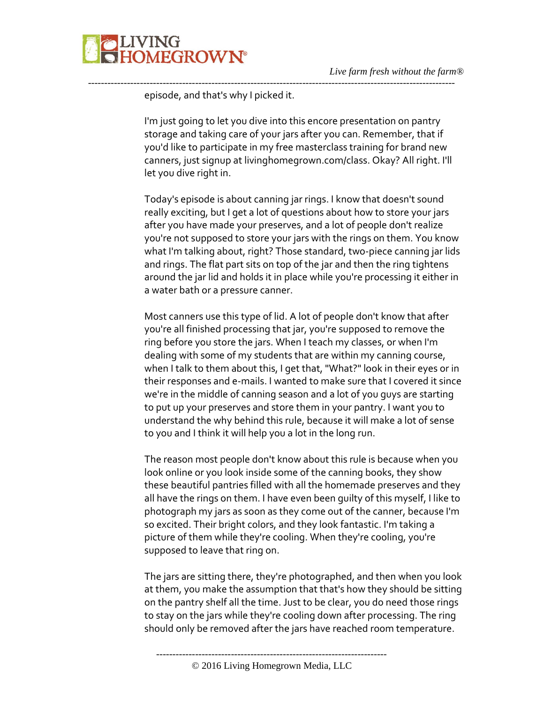

episode, and that's why I picked it.

I'm just going to let you dive into this encore presentation on pantry storage and taking care of your jars after you can. Remember, that if you'd like to participate in my free masterclass training for brand new canners, just signup at livinghomegrown.com/class. Okay? All right. I'll let you dive right in.

-----------------------------------------------------------------------------------------------------------------

Today's episode is about canning jar rings. I know that doesn't sound really exciting, but I get a lot of questions about how to store your jars after you have made your preserves, and a lot of people don't realize you're not supposed to store your jars with the rings on them. You know what I'm talking about, right? Those standard, two-piece canning jar lids and rings. The flat part sits on top of the jar and then the ring tightens around the jar lid and holds it in place while you're processing it either in a water bath or a pressure canner.

Most canners use this type of lid. A lot of people don't know that after you're all finished processing that jar, you're supposed to remove the ring before you store the jars. When I teach my classes, or when I'm dealing with some of my students that are within my canning course, when I talk to them about this, I get that, "What?" look in their eyes or in their responses and e-mails. I wanted to make sure that I covered it since we're in the middle of canning season and a lot of you guys are starting to put up your preserves and store them in your pantry. I want you to understand the why behind this rule, because it will make a lot of sense to you and I think it will help you a lot in the long run.

The reason most people don't know about this rule is because when you look online or you look inside some of the canning books, they show these beautiful pantries filled with all the homemade preserves and they all have the rings on them. I have even been guilty of this myself, I like to photograph my jars as soon as they come out of the canner, because I'm so excited. Their bright colors, and they look fantastic. I'm taking a picture of them while they're cooling. When they're cooling, you're supposed to leave that ring on.

The jars are sitting there, they're photographed, and then when you look at them, you make the assumption that that's how they should be sitting on the pantry shelf all the time. Just to be clear, you do need those rings to stay on the jars while they're cooling down after processing. The ring should only be removed after the jars have reached room temperature.

-----------------------------------------------------------------------

<sup>© 2016</sup> Living Homegrown Media, LLC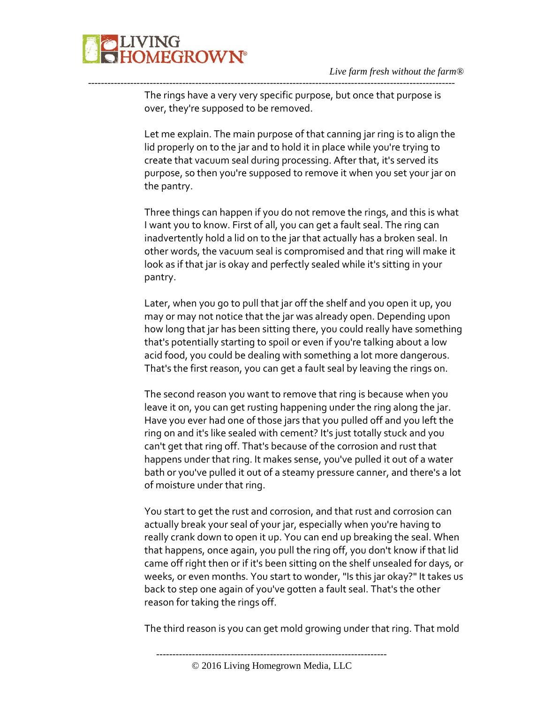The rings have a very very specific purpose, but once that purpose is over, they're supposed to be removed.

-----------------------------------------------------------------------------------------------------------------

Let me explain. The main purpose of that canning jar ring is to align the lid properly on to the jar and to hold it in place while you're trying to create that vacuum seal during processing. After that, it's served its purpose, so then you're supposed to remove it when you set your jar on the pantry.

Three things can happen if you do not remove the rings, and this is what I want you to know. First of all, you can get a fault seal. The ring can inadvertently hold a lid on to the jar that actually has a broken seal. In other words, the vacuum seal is compromised and that ring will make it look as if that jar is okay and perfectly sealed while it's sitting in your pantry.

Later, when you go to pull that jar off the shelf and you open it up, you may or may not notice that the jar was already open. Depending upon how long that jar has been sitting there, you could really have something that's potentially starting to spoil or even if you're talking about a low acid food, you could be dealing with something a lot more dangerous. That's the first reason, you can get a fault seal by leaving the rings on.

The second reason you want to remove that ring is because when you leave it on, you can get rusting happening under the ring along the jar. Have you ever had one of those jars that you pulled off and you left the ring on and it's like sealed with cement? It's just totally stuck and you can't get that ring off. That's because of the corrosion and rust that happens under that ring. It makes sense, you've pulled it out of a water bath or you've pulled it out of a steamy pressure canner, and there's a lot of moisture under that ring.

You start to get the rust and corrosion, and that rust and corrosion can actually break your seal of your jar, especially when you're having to really crank down to open it up. You can end up breaking the seal. When that happens, once again, you pull the ring off, you don't know if that lid came off right then or if it's been sitting on the shelf unsealed for days, or weeks, or even months. You start to wonder, "Is this jar okay?" It takes us back to step one again of you've gotten a fault seal. That's the other reason for taking the rings off.

The third reason is you can get mold growing under that ring. That mold

-----------------------------------------------------------------------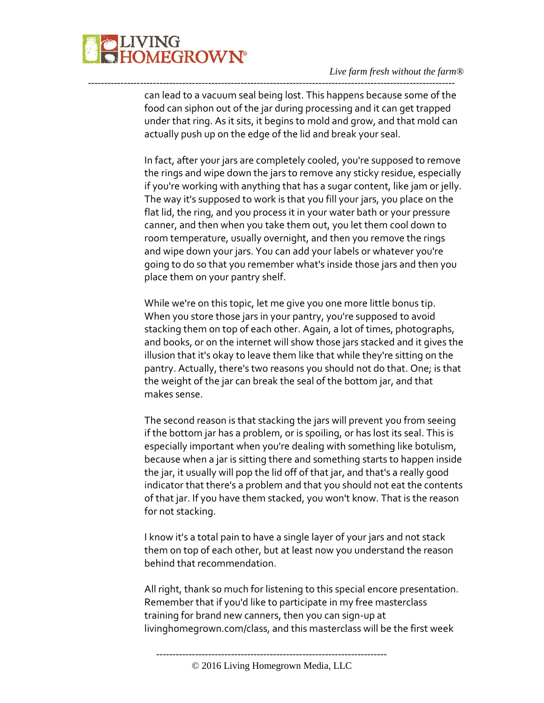

can lead to a vacuum seal being lost. This happens because some of the food can siphon out of the jar during processing and it can get trapped under that ring. As it sits, it begins to mold and grow, and that mold can actually push up on the edge of the lid and break your seal.

-----------------------------------------------------------------------------------------------------------------

In fact, after your jars are completely cooled, you're supposed to remove the rings and wipe down the jars to remove any sticky residue, especially if you're working with anything that has a sugar content, like jam or jelly. The way it's supposed to work is that you fill your jars, you place on the flat lid, the ring, and you process it in your water bath or your pressure canner, and then when you take them out, you let them cool down to room temperature, usually overnight, and then you remove the rings and wipe down your jars. You can add your labels or whatever you're going to do so that you remember what's inside those jars and then you place them on your pantry shelf.

While we're on this topic, let me give you one more little bonus tip. When you store those jars in your pantry, you're supposed to avoid stacking them on top of each other. Again, a lot of times, photographs, and books, or on the internet will show those jars stacked and it gives the illusion that it's okay to leave them like that while they're sitting on the pantry. Actually, there's two reasons you should not do that. One; is that the weight of the jar can break the seal of the bottom jar, and that makes sense.

The second reason is that stacking the jars will prevent you from seeing if the bottom jar has a problem, or is spoiling, or has lost its seal. This is especially important when you're dealing with something like botulism, because when a jar is sitting there and something starts to happen inside the jar, it usually will pop the lid off of that jar, and that's a really good indicator that there's a problem and that you should not eat the contents of that jar. If you have them stacked, you won't know. That is the reason for not stacking.

I know it's a total pain to have a single layer of your jars and not stack them on top of each other, but at least now you understand the reason behind that recommendation.

All right, thank so much for listening to this special encore presentation. Remember that if you'd like to participate in my free masterclass training for brand new canners, then you can sign-up at livinghomegrown.com/class, and this masterclass will be the first week

<sup>-----------------------------------------------------------------------</sup>

<sup>© 2016</sup> Living Homegrown Media, LLC